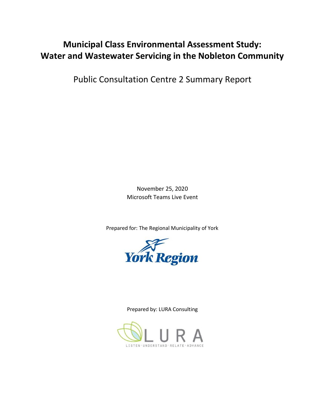# **Municipal Class Environmental Assessment Study: Water and Wastewater Servicing in the Nobleton Community**

Public Consultation Centre 2 Summary Report

November 25, 2020 Microsoft Teams Live Event

Prepared for: The Regional Municipality of York



Prepared by: LURA Consulting

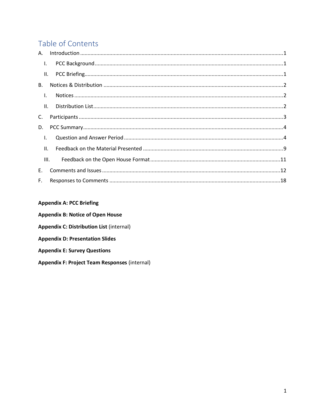# Table of Contents

| $\mathbf{I}$ . |     |  |
|----------------|-----|--|
|                | II. |  |
| <b>B.</b>      |     |  |
| $\mathsf{L}$   |     |  |
|                | II. |  |
| C.             |     |  |
| D.             |     |  |
| $\mathbf{I}$ . |     |  |
| II.            |     |  |
| III.           |     |  |
| E.             |     |  |
| $F_{\rm{H}}$   |     |  |

### **Appendix A: PCC Briefing**

<span id="page-1-0"></span>

| <b>Appendix B: Notice of Open House</b>              |  |
|------------------------------------------------------|--|
| <b>Appendix C: Distribution List (internal)</b>      |  |
| <b>Appendix D: Presentation Slides</b>               |  |
| <b>Appendix E: Survey Questions</b>                  |  |
| <b>Appendix F: Project Team Responses (internal)</b> |  |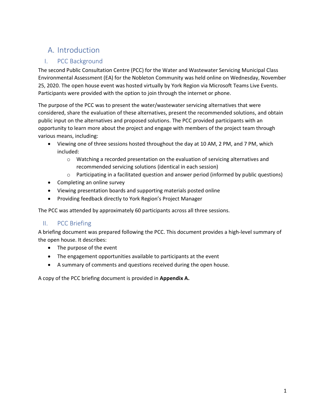# A. Introduction

## <span id="page-2-0"></span>I. PCC Background

The second Public Consultation Centre (PCC) for the Water and Wastewater Servicing Municipal Class Environmental Assessment (EA) for the Nobleton Community was held online on Wednesday, November 25, 2020. The open house event was hosted virtually by York Region via Microsoft Teams Live Events. Participants were provided with the option to join through the internet or phone.

The purpose of the PCC was to present the water/wastewater servicing alternatives that were considered, share the evaluation of these alternatives, present the recommended solutions, and obtain public input on the alternatives and proposed solutions. The PCC provided participants with an opportunity to learn more about the project and engage with members of the project team through various means, including:

- Viewing one of three sessions hosted throughout the day at 10 AM, 2 PM, and 7 PM, which included:
	- $\circ$  Watching a recorded presentation on the evaluation of servicing alternatives and recommended servicing solutions (identical in each session)
	- $\circ$  Participating in a facilitated question and answer period (informed by public questions)
- Completing an online survey
- Viewing presentation boards and supporting materials posted online
- Providing feedback directly to York Region's Project Manager

The PCC was attended by approximately 60 participants across all three sessions.

### <span id="page-2-1"></span>II. PCC Briefing

A briefing document was prepared following the PCC. This document provides a high-level summary of the open house. It describes:

- The purpose of the event
- The engagement opportunities available to participants at the event
- A summary of comments and questions received during the open house.

A copy of the PCC briefing document is provided in **Appendix A.**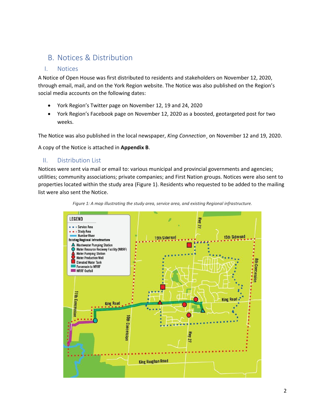## <span id="page-3-0"></span>B. Notices & Distribution

#### <span id="page-3-1"></span>I. Notices

A Notice of Open House was first distributed to residents and stakeholders on November 12, 2020, through email, mail, and on the York Region website. The Notice was also published on the Region's social media accounts on the following dates:

- York Region's Twitter page on November 12, 19 and 24, 2020
- York Region's Facebook page on November 12, 2020 as a boosted, geotargeted post for two weeks.

The Notice was also published in the local newspaper, *King Connection*¸ on November 12 and 19, 2020.

A copy of the Notice is attached in **Appendix B**.

#### <span id="page-3-2"></span>II. Distribution List

Notices were sent via mail or email to: various municipal and provincial governments and agencies; utilities; community associations; private companies; and First Nation groups. Notices were also sent to properties located within the study area (Figure 1). Residents who requested to be added to the mailing list were also sent the Notice.



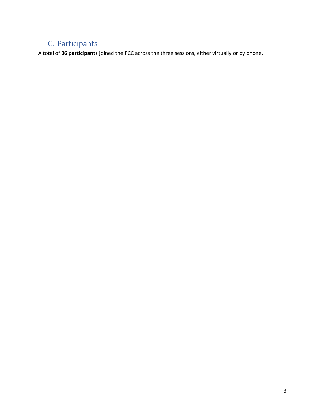# <span id="page-4-0"></span>C. Participants

<span id="page-4-1"></span>A total of **36 participants** joined the PCC across the three sessions, either virtually or by phone.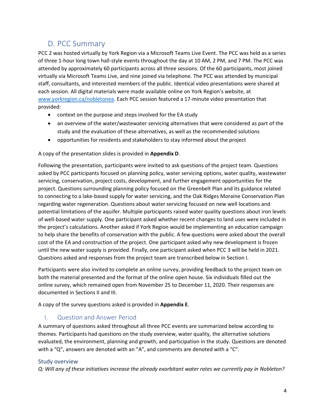## D. PCC Summary

PCC 2 was hosted virtually by York Region via a Microsoft Teams Live Event. The PCC was held as a series of three 1-hour long town hall-style events throughout the day at 10 AM, 2 PM, and 7 PM. The PCC was attended by approximately 60 participants across all three sessions. Of the 60 participants, most joined virtually via Microsoft Teams Live, and nine joined via telephone. The PCC was attended by municipal staff, consultants, and interested members of the public. Identical video presentations were shared at each session. All digital materials were made available online on York Region's website, at [www.yorkregion.ca/nobletonea.](http://www.yorkregion.ca/nobletonea) Each PCC session featured a 17-minute video presentation that provided:

- context on the purpose and steps involved for the EA study
- an overview of the water/wastewater servicing alternatives that were considered as part of the study and the evaluation of these alternatives, as well as the recommended solutions
- opportunities for residents and stakeholders to stay informed about the project

#### A copy of the presentation slides is provided in **Appendix D**.

Following the presentation, participants were invited to ask questions of the project team. Questions asked by PCC participants focused on planning policy, water servicing options, water quality, wastewater servicing, conservation, project costs, development, and further engagement opportunities for the project. Questions surrounding planning policy focused on the Greenbelt Plan and its guidance related to connecting to a lake-based supply for water servicing, and the Oak Ridges Moraine Conservation Plan regarding water regeneration. Questions about water servicing focused on new well locations and potential limitations of the aquifer. Multiple participants raised water quality questions about iron levels of well-based water supply. One participant asked whether recent changes to land uses were included in the project's calculations. Another asked if York Region would be implementing an education campaign to help share the benefits of conservation with the public. A few questions were asked about the overall cost of the EA and construction of the project. One participant asked why new development is frozen until the new water supply is provided. Finally, one participant asked when PCC 3 will be held in 2021. Questions asked and responses from the project team are transcribed below in Section I.

Participants were also invited to complete an online survey, providing feedback to the project team on both the material presented and the format of the online open house. Six individuals filled out the online survey, which remained open from November 25 to December 11, 2020. Their responses are documented in Sections II and III.

A copy of the survey questions asked is provided in **Appendix E**.

#### <span id="page-5-0"></span>I. Question and Answer Period

A summary of questions asked throughout all three PCC events are summarized below according to themes. Participants had questions on the study overview, water quality, the alternative solutions evaluated, the environment, planning and growth, and participation in the study. Questions are denoted with a "Q", answers are denoted with an "A", and comments are denoted with a "C".

#### Study overview

*Q: Will any of these initiatives increase the already exorbitant water rates we currently pay in Nobleton?*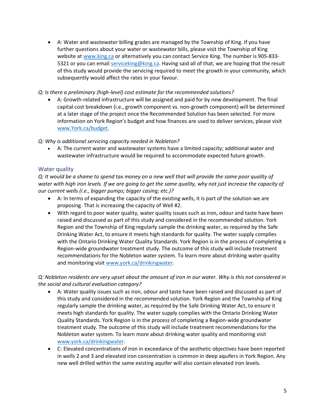• A: Water and wastewater billing grades are managed by the Township of King. If you have further questions about your water or wastewater bills, please visit the Township of King website at [www.king.ca](http://www.king.ca/) or alternatively you can contact Service King. The number is 905-833 5321 or you can email [serviceking@king.ca.](mailto:serviceking@king.ca) Having said all of that, we are hoping that the result of this study would provide the servicing required to meet the growth in your community, which subsequently would affect the rates in your favour.

#### *Q: Is there a preliminary (high-level) cost estimate for the recommended solutions?*

• A: Growth-related infrastructure will be assigned and paid for by new development. The final capital cost breakdown (i.e., growth component vs. non-growth component) will be determined at a later stage of the project once the Recommended Solution has been selected. For more information on York Region's budget and how finances are used to deliver services, please visit [www.York.ca/budget.](http://www.york.ca/budget)

#### *Q: Why is additional servicing capacity needed in Nobleton?*

• A: The current water and wastewater systems have a limited capacity; additional water and wastewater infrastructure would be required to accommodate expected future growth.

#### Water quality

*Q: It would be a shame to spend tax money on a new well that will provide the same poor quality of water with high iron levels. If we are going to get the same quality, why not just increase the capacity of our current wells (i.e., bigger pumps; bigger casing; etc.)?*

- A: In terms of expanding the capacity of the existing wells, it is part of the solution we are proposing. That is increasing the capacity of Well #2.
- With regard to poor water quality, water quality issues such as iron, odour and taste have been raised and discussed as part of this study and considered in the recommended solution. York Region and the Township of King regularly sample the drinking water, as required by the Safe Drinking Water Act, to ensure it meets high standards for quality. The water supply complies with the Ontario Drinking Water Quality Standards. York Region is in the process of completing a Region-wide groundwater treatment study. The outcome of this study will include treatment recommendations for the Nobleton water system. To learn more about drinking water quality and monitoring visit [www.york.ca/drinkingwater.](http://www.york.ca/drinkingwater)

#### *Q: Nobleton residents are very upset about the amount of iron in our water. Why is this not considered in the social and cultural evaluation category?*

- A: Water quality issues such as iron, odour and taste have been raised and discussed as part of this study and considered in the recommended solution. York Region and the Township of King regularly sample the drinking water, as required by the Safe Drinking Water Act, to ensure it meets high standards for quality. The water supply complies with the Ontario Drinking Water Quality Standards. York Region is in the process of completing a Region-wide groundwater treatment study. The outcome of this study will include treatment recommendations for the Nobleton water system. To learn more about drinking water quality and monitoring visit [www.york.ca/drinkingwater.](http://www.york.ca/drinkingwater)
- C: Elevated concentrations of iron in exceedance of the aesthetic objectives have been reported in wells 2 and 3 and elevated iron concentration is common in deep aquifers in York Region. Any new well drilled within the same existing aquifer will also contain elevated iron levels.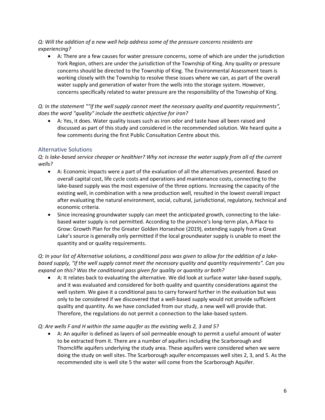*Q: Will the addition of a new well help address some of the pressure concerns residents are experiencing?*

• A: There are a few causes for water pressure concerns, some of which are under the jurisdiction York Region, others are under the jurisdiction of the Township of King. Any quality or pressure concerns should be directed to the Township of King. The Environmental Assessment team is working closely with the Township to resolve these issues where we can, as part of the overall water supply and generation of water from the wells into the storage system. However, concerns specifically related to water pressure are the responsibility of the Township of King.

*Q: In the statement ""if the well supply cannot meet the necessary quality and quantity requirements", does the word "quality" include the aesthetic objective for iron?*

• A: Yes, it does. Water quality issues such as iron odor and taste have all been raised and discussed as part of this study and considered in the recommended solution. We heard quite a few comments during the first Public Consultation Centre about this.

#### Alternative Solutions

*Q: Is lake-based service cheaper or healthier? Why not increase the water supply from all of the current wells?*

- A: Economic impacts were a part of the evaluation of all the alternatives presented. Based on overall capital cost, life cycle costs and operations and maintenance costs, connecting to the lake-based supply was the most expensive of the three options. Increasing the capacity of the existing well, in combination with a new production well, resulted in the lowest overall impact after evaluating the natural environment, social, cultural, jurisdictional, regulatory, technical and economic criteria.
- Since increasing groundwater supply can meet the anticipated growth, connecting to the lakebased water supply is not permitted. According to the province's long-term plan, A Place to Grow: Growth Plan for the Greater Golden Horseshoe (2019), extending supply from a Great Lake's source is generally only permitted if the local groundwater supply is unable to meet the quantity and or quality requirements.

*Q: In your list of Alternative solutions, a conditional pass was given to allow for the addition of a lakebased supply, "if the well supply cannot meet the necessary quality and quantity requirements". Can you expand on this? Was the conditional pass given for quality or quantity or both?*

• A: It relates back to evaluating the alternative. We did look at surface water lake-based supply, and it was evaluated and considered for both quality and quantity considerations against the well system. We gave it a conditional pass to carry forward further in the evaluation but was only to be considered if we discovered that a well-based supply would not provide sufficient quality and quantity. As we have concluded from our study, a new well will provide that. Therefore, the regulations do not permit a connection to the lake-based system.

#### *Q: Are wells F and H within the same aquifer as the existing wells 2, 3 and 5?*

• A: An aquifer is defined as layers of soil permeable enough to permit a useful amount of water to be extracted from it. There are a number of aquifers including the Scarborough and Thorncliffe aquifers underlying the study area. These aquifers were considered when we were doing the study on well sites. The Scarborough aquifer encompasses well sites 2, 3, and 5. As the recommended site is well site 5 the water will come from the Scarborough Aquifer.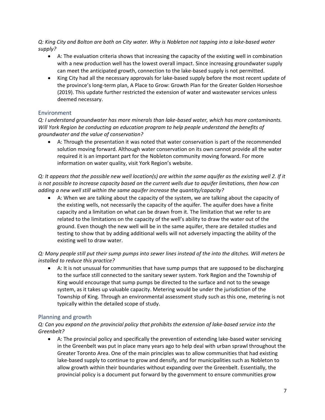*Q: King City and Bolton are both on City water. Why is Nobleton not tapping into a lake-based water supply?*

- A: The evaluation criteria shows that increasing the capacity of the existing well in combination with a new production well has the lowest overall impact. Since increasing groundwater supply can meet the anticipated growth, connection to the lake-based supply is not permitted.
- King City had all the necessary approvals for lake-based supply before the most recent update of the province's long-term plan, A Place to Grow: Growth Plan for the Greater Golden Horseshoe (2019). This update further restricted the extension of water and wastewater services unless deemed necessary.

#### **Environment**

*Q: I understand groundwater has more minerals than lake-based water, which has more contaminants. Will York Region be conducting an education program to help people understand the benefits of groundwater and the value of conservation?*

• A: Through the presentation it was noted that water conservation is part of the recommended solution moving forward. Although water conservation on its own cannot provide all the water required it is an important part for the Nobleton community moving forward. For more information on water quality, visit York Region's website.

*Q: It appears that the possible new well location(s) are within the same aquifer as the existing well 2. If it is not possible to increase capacity based on the current wells due to aquifer limitations, then how can adding a new well still within the same aquifer increase the quantity/capacity?*

• A: When we are talking about the capacity of the system, we are talking about the capacity of the existing wells, not necessarily the capacity of the aquifer. The aquifer does have a finite capacity and a limitation on what can be drawn from it. The limitation that we refer to are related to the limitations on the capacity of the well's ability to draw the water out of the ground. Even though the new well will be in the same aquifer, there are detailed studies and testing to show that by adding additional wells will not adversely impacting the ability of the existing well to draw water.

#### *Q: Many people still put their sump pumps into sewer lines instead of the into the ditches. Will meters be installed to reduce this practice?*

• A: It is not unusual for communities that have sump pumps that are supposed to be discharging to the surface still connected to the sanitary sewer system. York Region and the Township of King would encourage that sump pumps be directed to the surface and not to the sewage system, as it takes up valuable capacity. Metering would be under the jurisdiction of the Township of King. Through an environmental assessment study such as this one, metering is not typically within the detailed scope of study.

#### Planning and growth

#### *Q: Can you expand on the provincial policy that prohibits the extension of lake-based service into the Greenbelt?*

• A: The provincial policy and specifically the prevention of extending lake-based water servicing in the Greenbelt was put in place many years ago to help deal with urban sprawl throughout the Greater Toronto Area. One of the main principles was to allow communities that had existing lake-based supply to continue to grow and densify, and for municipalities such as Nobleton to allow growth within their boundaries without expanding over the Greenbelt. Essentially, the provincial policy is a document put forward by the government to ensure communities grow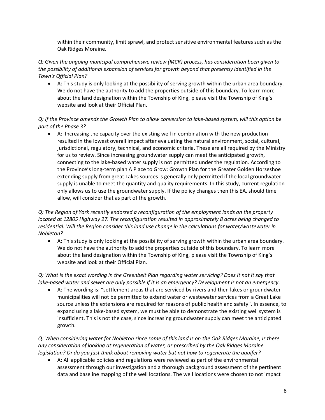within their community, limit sprawl, and protect sensitive environmental features such as the Oak Ridges Moraine.

*Q: Given the ongoing municipal comprehensive review (MCR) process, has consideration been given to the possibility of additional expansion of services for growth beyond that presently identified in the Town's Official Plan?*

• A: This study is only looking at the possibility of serving growth within the urban area boundary. We do not have the authority to add the properties outside of this boundary. To learn more about the land designation within the Township of King, please visit the Township of King's website and look at their Official Plan.

*Q: If the Province amends the Growth Plan to allow conversion to lake-based system, will this option be part of the Phase 3?*

• A: Increasing the capacity over the existing well in combination with the new production resulted in the lowest overall impact after evaluating the natural environment, social, cultural, jurisdictional, regulatory, technical, and economic criteria. These are all required by the Ministry for us to review. Since increasing groundwater supply can meet the anticipated growth, connecting to the lake-based water supply is not permitted under the regulation. According to the Province's long-term plan A Place to Grow: Growth Plan for the Greater Golden Horseshoe extending supply from great Lakes sources is generally only permitted if the local groundwater supply is unable to meet the quantity and quality requirements. In this study, current regulation only allows us to use the groundwater supply. If the policy changes then this EA, should time allow, will consider that as part of the growth.

#### *Q: The Region of York recently endorsed a reconfiguration of the employment lands on the property located at 12805 Highway 27. The reconfiguration resulted in approximately 8 acres being changed to residential. Will the Region consider this land use change in the calculations for water/wastewater in Nobleton?*

• A: This study is only looking at the possibility of serving growth within the urban area boundary. We do not have the authority to add the properties outside of this boundary. To learn more about the land designation within the Township of King, please visit the Township of King's website and look at their Official Plan.

*Q: What is the exact wording in the Greenbelt Plan regarding water servicing? Does it not it say that lake-based water and sewer are only possible if it is an emergency? Development is not an emergency.*

• A: The wording is: "settlement areas that are serviced by rivers and then lakes or groundwater municipalities will not be permitted to extend water or wastewater services from a Great Lake source unless the extensions are required for reasons of public health and safety". In essence, to expand using a lake-based system, we must be able to demonstrate the existing well system is insufficient. This is not the case, since increasing groundwater supply can meet the anticipated growth.

*Q: When considering water for Nobleton since some of this land is on the Oak Ridges Moraine, is there any consideration of looking at regeneration of water, as prescribed by the Oak Ridges Moraine legislation? Or do you just think about removing water but not how to regenerate the aquifer?*

• A: All applicable policies and regulations were reviewed as part of the environmental assessment through our investigation and a thorough background assessment of the pertinent data and baseline mapping of the well locations. The well locations were chosen to not impact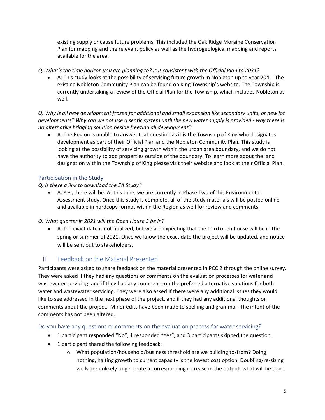existing supply or cause future problems. This included the Oak Ridge Moraine Conservation Plan for mapping and the relevant policy as well as the hydrogeological mapping and reports available for the area.

*Q: What's the time horizon you are planning to? Is it consistent with the Official Plan to 2031?*

• A: This study looks at the possibility of servicing future growth in Nobleton up to year 2041. The existing Nobleton Community Plan can be found on King Township's website. The Township is currently undertaking a review of the Official Plan for the Township, which includes Nobleton as well.

*Q: Why is all new development frozen for additional and small expansion like secondary units, or new lot developments? Why can we not use a septic system until the new water supply is provided - why there is no alternative bridging solution beside freezing all development?*

• A: The Region is unable to answer that question as it is the Township of King who designates development as part of their Official Plan and the Nobleton Community Plan. This study is looking at the possibility of servicing growth within the urban area boundary, and we do not have the authority to add properties outside of the boundary. To learn more about the land designation within the Township of King please visit their website and look at their Official Plan.

#### Participation in the Study

#### *Q: Is there a link to download the EA Study?*

• A: Yes, there will be. At this time, we are currently in Phase Two of this Environmental Assessment study. Once this study is complete, all of the study materials will be posted online and available in hardcopy format within the Region as well for review and comments.

#### *Q: What quarter in 2021 will the Open House 3 be in?*

• A: the exact date is not finalized, but we are expecting that the third open house will be in the spring or summer of 2021. Once we know the exact date the project will be updated, and notice will be sent out to stakeholders.

#### <span id="page-10-0"></span>II. Feedback on the Material Presented

Participants were asked to share feedback on the material presented in PCC 2 through the online survey. They were asked if they had any questions or comments on the evaluation processes for water and wastewater servicing, and if they had any comments on the preferred alternative solutions for both water and wastewater servicing. They were also asked if there were any additional issues they would like to see addressed in the next phase of the project, and if they had any additional thoughts or comments about the project. Minor edits have been made to spelling and grammar. The intent of the comments has not been altered.

#### Do you have any questions or comments on the evaluation process for water servicing?

- 1 participant responded "No", 1 responded "Yes", and 3 participants skipped the question.
- 1 participant shared the following feedback:
	- o What population/household/business threshold are we building to/from? Doing nothing, halting growth to current capacity is the lowest cost option. Doubling/re-sizing wells are unlikely to generate a corresponding increase in the output: what will be done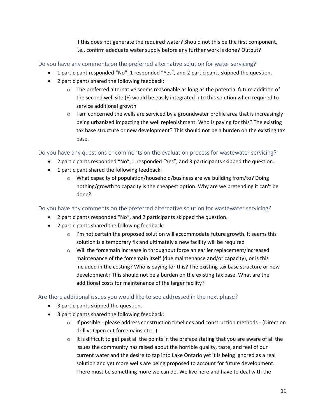if this does not generate the required water? Should not this be the first component, i.e., confirm adequate water supply before any further work is done? Output?

Do you have any comments on the preferred alternative solution for water servicing?

- 1 participant responded "No", 1 responded "Yes", and 2 participants skipped the question.
- 2 participants shared the following feedback:
	- $\circ$  The preferred alternative seems reasonable as long as the potential future addition of the second well site (F) would be easily integrated into this solution when required to service additional growth
	- $\circ$  I am concerned the wells are serviced by a groundwater profile area that is increasingly being urbanized impacting the well replenishment. Who is paying for this? The existing tax base structure or new development? This should not be a burden on the existing tax base.

Do you have any questions or comments on the evaluation process for wastewater servicing?

- 2 participants responded "No", 1 responded "Yes", and 3 participants skipped the question.
- 1 participant shared the following feedback:
	- o What capacity of population/household/business are we building from/to? Doing nothing/growth to capacity is the cheapest option. Why are we pretending it can't be done?

Do you have any comments on the preferred alternative solution for wastewater servicing?

- 2 participants responded "No", and 2 participants skipped the question.
- 2 participants shared the following feedback:
	- $\circ$  I'm not certain the proposed solution will accommodate future growth. It seems this solution is a temporary fix and ultimately a new facility will be required
	- o Will the forcemain increase in throughput force an earlier replacement/increased maintenance of the forcemain itself (due maintenance and/or capacity), or is this included in the costing? Who is paying for this? The existing tax base structure or new development? This should not be a burden on the existing tax base. What are the additional costs for maintenance of the larger facility?

### Are there additional issues you would like to see addressed in the next phase?

- 3 participants skipped the question.
- 3 participants shared the following feedback:
	- $\circ$  If possible please address construction timelines and construction methods (Direction drill vs Open cut forcemains etc...)
	- $\circ$  It is difficult to get past all the points in the preface stating that you are aware of all the issues the community has raised about the horrible quality, taste, and feel of our current water and the desire to tap into Lake Ontario yet it is being ignored as a real solution and yet more wells are being proposed to account for future development. There must be something more we can do. We live here and have to deal with the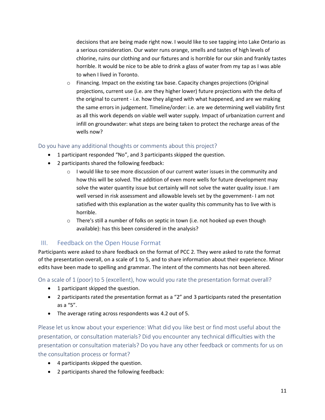decisions that are being made right now. I would like to see tapping into Lake Ontario as a serious consideration. Our water runs orange, smells and tastes of high levels of chlorine, ruins our clothing and our fixtures and is horrible for our skin and frankly tastes horrible. It would be nice to be able to drink a glass of water from my tap as I was able to when I lived in Toronto.

o Financing. Impact on the existing tax base. Capacity changes projections (Original projections, current use (i.e. are they higher lower) future projections with the delta of the original to current - i.e. how they aligned with what happened, and are we making the same errors in judgement. Timeline/order: i.e. are we determining well viability first as all this work depends on viable well water supply. Impact of urbanization current and infill on groundwater: what steps are being taken to protect the recharge areas of the wells now?

#### Do you have any additional thoughts or comments about this project?

- 1 participant responded "No", and 3 participants skipped the question.
- 2 participants shared the following feedback:
	- $\circ$  I would like to see more discussion of our current water issues in the community and how this will be solved. The addition of even more wells for future development may solve the water quantity issue but certainly will not solve the water quality issue. I am well versed in risk assessment and allowable levels set by the government- I am not satisfied with this explanation as the water quality this community has to live with is horrible.
	- $\circ$  There's still a number of folks on septic in town (i.e. not hooked up even though available): has this been considered in the analysis?

#### <span id="page-12-0"></span>III. Feedback on the Open House Format

Participants were asked to share feedback on the format of PCC 2. They were asked to rate the format of the presentation overall, on a scale of 1 to 5, and to share information about their experience. Minor edits have been made to spelling and grammar. The intent of the comments has not been altered.

On a scale of 1 (poor) to 5 (excellent), how would you rate the presentation format overall?

- 1 participant skipped the question.
- 2 participants rated the presentation format as a "2" and 3 participants rated the presentation as a "5".
- The average rating across respondents was 4.2 out of 5.

Please let us know about your experience: What did you like best or find most useful about the presentation, or consultation materials? Did you encounter any technical difficulties with the presentation or consultation materials? Do you have any other feedback or comments for us on the consultation process or format?

- 4 participants skipped the question.
- 2 participants shared the following feedback: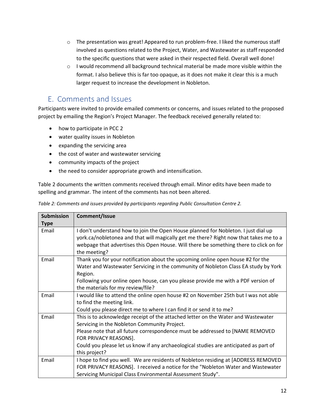- $\circ$  The presentation was great! Appeared to run problem-free. I liked the numerous staff involved as questions related to the Project, Water, and Wastewater as staff responded to the specific questions that were asked in their respected field. Overall well done!
- o I would recommend all background technical material be made more visible within the format. I also believe this is far too opaque, as it does not make it clear this is a much larger request to increase the development in Nobleton.

## <span id="page-13-0"></span>E. Comments and Issues

Participants were invited to provide emailed comments or concerns, and issues related to the proposed project by emailing the Region's Project Manager. The feedback received generally related to:

- how to participate in PCC 2
- water quality issues in Nobleton
- expanding the servicing area
- the cost of water and wastewater servicing
- community impacts of the project
- the need to consider appropriate growth and intensification.

Table 2 documents the written comments received through email. Minor edits have been made to spelling and grammar. The intent of the comments has not been altered.

| <b>Submission</b> | Comment/Issue                                                                                                                                                                                                                                                                                                                                         |
|-------------------|-------------------------------------------------------------------------------------------------------------------------------------------------------------------------------------------------------------------------------------------------------------------------------------------------------------------------------------------------------|
| <b>Type</b>       |                                                                                                                                                                                                                                                                                                                                                       |
| Email             | I don't understand how to join the Open House planned for Nobleton. I just dial up<br>york.ca/nobletonea and that will magically get me there? Right now that takes me to a<br>webpage that advertises this Open House. Will there be something there to click on for<br>the meeting?                                                                 |
| Email             | Thank you for your notification about the upcoming online open house #2 for the<br>Water and Wastewater Servicing in the community of Nobleton Class EA study by York<br>Region.<br>Following your online open house, can you please provide me with a PDF version of<br>the materials for my review/file?                                            |
| Email             | I would like to attend the online open house #2 on November 25th but I was not able<br>to find the meeting link.<br>Could you please direct me to where I can find it or send it to me?                                                                                                                                                               |
| Email             | This is to acknowledge receipt of the attached letter on the Water and Wastewater<br>Servicing in the Nobleton Community Project.<br>Please note that all future correspondence must be addressed to [NAME REMOVED<br>FOR PRIVACY REASONS].<br>Could you please let us know if any archaeological studies are anticipated as part of<br>this project? |
| Email             | I hope to find you well. We are residents of Nobleton residing at [ADDRESS REMOVED<br>FOR PRIVACY REASONS]. I received a notice for the "Nobleton Water and Wastewater<br>Servicing Municipal Class Environmental Assessment Study".                                                                                                                  |

*Table 2: Comments and issues provided by participants regarding Public Consultation Centre 2.*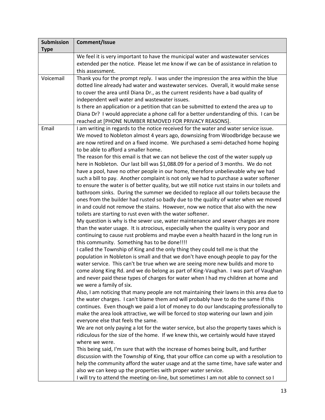| <b>Submission</b> | Comment/Issue                                                                                                                       |
|-------------------|-------------------------------------------------------------------------------------------------------------------------------------|
| <b>Type</b>       |                                                                                                                                     |
|                   | We feel it is very important to have the municipal water and wastewater services                                                    |
|                   | extended per the notice. Please let me know if we can be of assistance in relation to                                               |
|                   | this assessment.                                                                                                                    |
| Voicemail         | Thank you for the prompt reply. I was under the impression the area within the blue                                                 |
|                   | dotted line already had water and wastewater services. Overall, it would make sense                                                 |
|                   | to cover the area until Diana Dr., as the current residents have a bad quality of                                                   |
|                   | independent well water and wastewater issues.                                                                                       |
|                   | Is there an application or a petition that can be submitted to extend the area up to                                                |
|                   | Diana Dr? I would appreciate a phone call for a better understanding of this. I can be                                              |
|                   | reached at [PHONE NUMBER REMOVED FOR PRIVACY REASONS].                                                                              |
| Email             | I am writing in regards to the notice received for the water and water service issue.                                               |
|                   | We moved to Nobleton almost 4 years ago, downsizing from Woodbridge because we                                                      |
|                   | are now retired and on a fixed income. We purchased a semi-detached home hoping                                                     |
|                   | to be able to afford a smaller home.                                                                                                |
|                   | The reason for this email is that we can not believe the cost of the water supply up                                                |
|                   | here in Nobleton. Our last bill was \$1,088.09 for a period of 3 months. We do not                                                  |
|                   | have a pool, have no other people in our home, therefore unbelievable why we had                                                    |
|                   | such a bill to pay. Another complaint is not only we had to purchase a water softener                                               |
|                   | to ensure the water is of better quality, but we still notice rust stains in our toilets and                                        |
|                   | bathroom sinks. During the summer we decided to replace all our toilets because the                                                 |
|                   | ones from the builder had rusted so badly due to the quality of water when we moved                                                 |
|                   | in and could not remove the stains. However, now we notice that also with the new                                                   |
|                   | toilets are starting to rust even with the water softener.                                                                          |
|                   | My question is why is the sewer use, water maintenance and sewer charges are more                                                   |
|                   | than the water usage. It is atrocious, especially when the quality is very poor and                                                 |
|                   | continuing to cause rust problems and maybe even a health hazard in the long run in<br>this community. Something has to be done!!!! |
|                   | I called the Township of King and the only thing they could tell me is that the                                                     |
|                   | population in Nobleton is small and that we don't have enough people to pay for the                                                 |
|                   | water service. This can't be true when we are seeing more new builds and more to                                                    |
|                   | come along King Rd. and we do belong as part of King-Vaughan. I was part of Vaughan                                                 |
|                   | and never paid these types of charges for water when I had my children at home and                                                  |
|                   | we were a family of six.                                                                                                            |
|                   | Also, I am noticing that many people are not maintaining their lawns in this area due to                                            |
|                   | the water charges. I can't blame them and will probably have to do the same if this                                                 |
|                   | continues. Even though we paid a lot of money to do our landscaping professionally to                                               |
|                   | make the area look attractive, we will be forced to stop watering our lawn and join                                                 |
|                   | everyone else that feels the same.                                                                                                  |
|                   | We are not only paying a lot for the water service, but also the property taxes which is                                            |
|                   | ridiculous for the size of the home. If we knew this, we certainly would have stayed                                                |
|                   | where we were.                                                                                                                      |
|                   | This being said, I'm sure that with the increase of homes being built, and further                                                  |
|                   | discussion with the Township of King, that your office can come up with a resolution to                                             |
|                   | help the community afford the water usage and at the same time, have safe water and                                                 |
|                   | also we can keep up the properties with proper water service.                                                                       |
|                   | I will try to attend the meeting on-line, but sometimes I am not able to connect so I                                               |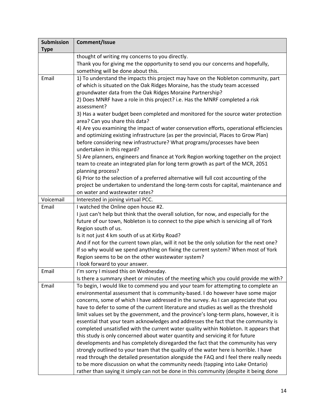| <b>Submission</b> | Comment/Issue                                                                                                                                                                                                                                                                                                                                                                                                                                                                                                                                                                                                                                                                                                                                                                                                                                                                                                                                                                                                                                                                                                                                                  |
|-------------------|----------------------------------------------------------------------------------------------------------------------------------------------------------------------------------------------------------------------------------------------------------------------------------------------------------------------------------------------------------------------------------------------------------------------------------------------------------------------------------------------------------------------------------------------------------------------------------------------------------------------------------------------------------------------------------------------------------------------------------------------------------------------------------------------------------------------------------------------------------------------------------------------------------------------------------------------------------------------------------------------------------------------------------------------------------------------------------------------------------------------------------------------------------------|
| <b>Type</b>       |                                                                                                                                                                                                                                                                                                                                                                                                                                                                                                                                                                                                                                                                                                                                                                                                                                                                                                                                                                                                                                                                                                                                                                |
|                   | thought of writing my concerns to you directly.<br>Thank you for giving me the opportunity to send you our concerns and hopefully,<br>something will be done about this.                                                                                                                                                                                                                                                                                                                                                                                                                                                                                                                                                                                                                                                                                                                                                                                                                                                                                                                                                                                       |
| Email             | 1) To understand the impacts this project may have on the Nobleton community, part<br>of which is situated on the Oak Ridges Moraine, has the study team accessed<br>groundwater data from the Oak Ridges Moraine Partnership?<br>2) Does MNRF have a role in this project? i.e. Has the MNRF completed a risk<br>assessment?<br>3) Has a water budget been completed and monitored for the source water protection<br>area? Can you share this data?<br>4) Are you examining the impact of water conservation efforts, operational efficiencies<br>and optimizing existing infrastructure (as per the provincial, Places to Grow Plan)<br>before considering new infrastructure? What programs/processes have been<br>undertaken in this regard?                                                                                                                                                                                                                                                                                                                                                                                                              |
|                   | 5) Are planners, engineers and finance at York Region working together on the project<br>team to create an integrated plan for long term growth as part of the MCR, 2051<br>planning process?<br>6) Prior to the selection of a preferred alternative will full cost accounting of the<br>project be undertaken to understand the long-term costs for capital, maintenance and<br>on water and wastewater rates?                                                                                                                                                                                                                                                                                                                                                                                                                                                                                                                                                                                                                                                                                                                                               |
| Voicemail         | Interested in joining virtual PCC.                                                                                                                                                                                                                                                                                                                                                                                                                                                                                                                                                                                                                                                                                                                                                                                                                                                                                                                                                                                                                                                                                                                             |
| Email             | I watched the Online open house #2.<br>I just can't help but think that the overall solution, for now, and especially for the<br>future of our town, Nobleton is to connect to the pipe which is servicing all of York<br>Region south of us.<br>Is it not just 4 km south of us at Kirby Road?<br>And if not for the current town plan, will it not be the only solution for the next one?<br>If so why would we spend anything on fixing the current system? When most of York<br>Region seems to be on the other wastewater system?<br>I look forward to your answer.                                                                                                                                                                                                                                                                                                                                                                                                                                                                                                                                                                                       |
| Email             | I'm sorry I missed this on Wednesday.<br>Is there a summary sheet or minutes of the meeting which you could provide me with?                                                                                                                                                                                                                                                                                                                                                                                                                                                                                                                                                                                                                                                                                                                                                                                                                                                                                                                                                                                                                                   |
| Email             | To begin, I would like to commend you and your team for attempting to complete an<br>environmental assessment that is community-based. I do however have some major<br>concerns, some of which I have addressed in the survey. As I can appreciate that you<br>have to defer to some of the current literature and studies as well as the threshold<br>limit values set by the government, and the province's long-term plans, however, it is<br>essential that your team acknowledges and addresses the fact that the community is<br>completed unsatisfied with the current water quality within Nobleton. It appears that<br>this study is only concerned about water quantity and servicing it for future<br>developments and has completely disregarded the fact that the community has very<br>strongly outlined to your team that the quality of the water here is horrible. I have<br>read through the detailed presentation alongside the FAQ and I feel there really needs<br>to be more discussion on what the community needs (tapping into Lake Ontario)<br>rather than saying it simply can not be done in this community (despite it being done |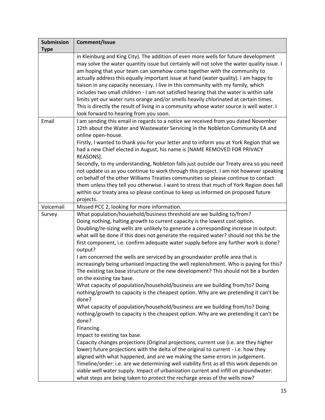| Comment/Issue                                                                                                                                                                                                                                                                                                                                                                                                                                                                                                                                                                                                                                                                                                                                                                                                                                                                                                                                                                                                                                                                                                                                                                                                                                                                                                                                                                                                                                                                                                                                                                                                 |
|---------------------------------------------------------------------------------------------------------------------------------------------------------------------------------------------------------------------------------------------------------------------------------------------------------------------------------------------------------------------------------------------------------------------------------------------------------------------------------------------------------------------------------------------------------------------------------------------------------------------------------------------------------------------------------------------------------------------------------------------------------------------------------------------------------------------------------------------------------------------------------------------------------------------------------------------------------------------------------------------------------------------------------------------------------------------------------------------------------------------------------------------------------------------------------------------------------------------------------------------------------------------------------------------------------------------------------------------------------------------------------------------------------------------------------------------------------------------------------------------------------------------------------------------------------------------------------------------------------------|
|                                                                                                                                                                                                                                                                                                                                                                                                                                                                                                                                                                                                                                                                                                                                                                                                                                                                                                                                                                                                                                                                                                                                                                                                                                                                                                                                                                                                                                                                                                                                                                                                               |
| in Kleinburg and King City). The addition of even more wells for future development<br>may solve the water quantity issue but certainly will not solve the water quality issue. I<br>am hoping that your team can somehow come together with the community to<br>actually address this equally important issue at hand (water quality). I am happy to<br>liaison in any capacity necessary. I live in this community with my family, which<br>includes two small children - I am not satisfied hearing that the water is within safe<br>limits yet our water runs orange and/or smells heavily chlorinated at certain times.<br>This is directly the result of living in a community whose water source is well water. I<br>look forward to hearing from you soon.                                                                                                                                                                                                                                                                                                                                                                                                                                                                                                                                                                                                                                                                                                                                                                                                                                            |
| I am sending this email in regards to a notice we received from you dated November                                                                                                                                                                                                                                                                                                                                                                                                                                                                                                                                                                                                                                                                                                                                                                                                                                                                                                                                                                                                                                                                                                                                                                                                                                                                                                                                                                                                                                                                                                                            |
| 12th about the Water and Wastewater Servicing in the Nobleton Community EA and<br>online open-house.<br>Firstly, I wanted to thank you for your letter and to inform you at York Region that we<br>had a new Chief elected in August, his name is [NAME REMOVED FOR PRIVACY<br>REASONS].                                                                                                                                                                                                                                                                                                                                                                                                                                                                                                                                                                                                                                                                                                                                                                                                                                                                                                                                                                                                                                                                                                                                                                                                                                                                                                                      |
| Secondly, to my understanding, Nobleton falls just outside our Treaty area so you need<br>not update us as you continue to work through this project. I am not however speaking<br>on behalf of the other Williams Treaties communities so please continue to contact<br>them unless they tell you otherwise. I want to stress that much of York Region does fall<br>within our treaty area so please continue to keep us informed on proposed future<br>projects.                                                                                                                                                                                                                                                                                                                                                                                                                                                                                                                                                                                                                                                                                                                                                                                                                                                                                                                                                                                                                                                                                                                                            |
| Missed PCC 2, looking for more information.                                                                                                                                                                                                                                                                                                                                                                                                                                                                                                                                                                                                                                                                                                                                                                                                                                                                                                                                                                                                                                                                                                                                                                                                                                                                                                                                                                                                                                                                                                                                                                   |
| What population/household/business threshold are we building to/from?<br>Doing nothing, halting growth to current capacity is the lowest cost option.<br>Doubling/re-sizing wells are unlikely to generate a corresponding increase in output:<br>what will be done if this does not generate the required water? should not this be the<br>first component, i.e. confirm adequate water supply before any further work is done?<br>output?<br>I am concerned the wells are serviced by an groundwater profile area that is<br>increasingly being urbanised impacting the well replenishment. Who is paying for this?<br>The existing tax base structure or the new development? This should not be a burden<br>on the existing tax base.<br>What capacity of population/household/business are we building from/to? Doing<br>nothing/growth to capacity is the cheapest option. Why are we pretending it can't be<br>done?<br>What capacity of population/household/business are we building from/to? Doing<br>nothing/growth to capacity is the cheapest option. Why are we pretending it can't be<br>done?<br>Financing.<br>Impact to existing tax base.<br>Capacity changes projections (Original projections, current use (i.e. are they higher<br>lower) future projections with the delta of the original to current - i.e. how they<br>aligned with what happened, and are we making the same errors in judgement.<br>Timeline/order: i.e. are we determining well viability first as all this work depends on<br>viable well water supply. Impact of urbanization current and infill on groundwater: |
|                                                                                                                                                                                                                                                                                                                                                                                                                                                                                                                                                                                                                                                                                                                                                                                                                                                                                                                                                                                                                                                                                                                                                                                                                                                                                                                                                                                                                                                                                                                                                                                                               |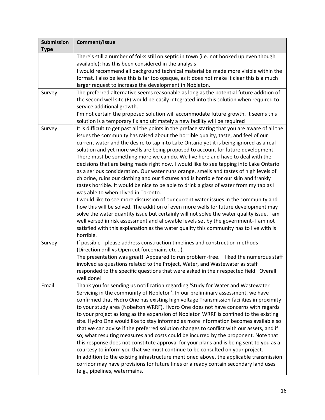| <b>Submission</b> | Comment/Issue                                                                                                                                                                 |
|-------------------|-------------------------------------------------------------------------------------------------------------------------------------------------------------------------------|
| <b>Type</b>       |                                                                                                                                                                               |
|                   | There's still a number of folks still on septic in town (i.e. not hooked up even though<br>available): has this been considered in the analysis                               |
|                   | I would recommend all background technical material be made more visible within the                                                                                           |
|                   | format. I also believe this is far too opaque, as it does not make it clear this is a much                                                                                    |
|                   | larger request to increase the development in Nobleton.                                                                                                                       |
| Survey            | The preferred alternative seems reasonable as long as the potential future addition of                                                                                        |
|                   | the second well site (F) would be easily integrated into this solution when required to                                                                                       |
|                   | service additional growth.                                                                                                                                                    |
|                   | I'm not certain the proposed solution will accommodate future growth. It seems this                                                                                           |
| Survey            | solution is a temporary fix and ultimately a new facility will be required<br>It is difficult to get past all the points in the preface stating that you are aware of all the |
|                   | issues the community has raised about the horrible quality, taste, and feel of our                                                                                            |
|                   | current water and the desire to tap into Lake Ontario yet it is being ignored as a real                                                                                       |
|                   | solution and yet more wells are being proposed to account for future development.                                                                                             |
|                   | There must be something more we can do. We live here and have to deal with the                                                                                                |
|                   | decisions that are being made right now. I would like to see tapping into Lake Ontario                                                                                        |
|                   | as a serious consideration. Our water runs orange, smells and tastes of high levels of                                                                                        |
|                   | chlorine, ruins our clothing and our fixtures and is horrible for our skin and frankly                                                                                        |
|                   | tastes horrible. It would be nice to be able to drink a glass of water from my tap as I                                                                                       |
|                   | was able to when I lived in Toronto.                                                                                                                                          |
|                   | I would like to see more discussion of our current water issues in the community and                                                                                          |
|                   | how this will be solved. The addition of even more wells for future development may                                                                                           |
|                   | solve the water quantity issue but certainly will not solve the water quality issue. I am                                                                                     |
|                   | well versed in risk assessment and allowable levels set by the government- I am not                                                                                           |
|                   | satisfied with this explanation as the water quality this community has to live with is<br>horrible.                                                                          |
|                   | If possible - please address construction timelines and construction methods -                                                                                                |
| Survey            | (Direction drill vs Open cut forcemains etc).                                                                                                                                 |
|                   | The presentation was great! Appeared to run problem-free. I liked the numerous staff                                                                                          |
|                   | involved as questions related to the Project, Water, and Wastewater as staff                                                                                                  |
|                   | responded to the specific questions that were asked in their respected field. Overall                                                                                         |
|                   | well done!                                                                                                                                                                    |
| Email             | Thank you for sending us notification regarding 'Study for Water and Wastewater                                                                                               |
|                   | Servicing in the community of Nobleton'. In our preliminary assessment, we have                                                                                               |
|                   | confirmed that Hydro One has existing high voltage Transmission facilities in proximity                                                                                       |
|                   | to your study area (Nobelton WRRF). Hydro One does not have concerns with regards                                                                                             |
|                   | to your project as long as the expansion of Nobleton WRRF is confined to the existing                                                                                         |
|                   | site. Hydro One would like to stay informed as more information becomes available so                                                                                          |
|                   | that we can advise if the preferred solution changes to conflict with our assets, and if                                                                                      |
|                   | so; what resulting measures and costs could be incurred by the proponent. Note that                                                                                           |
|                   | this response does not constitute approval for your plans and is being sent to you as a                                                                                       |
|                   | courtesy to inform you that we must continue to be consulted on your project.                                                                                                 |
|                   | In addition to the existing infrastructure mentioned above, the applicable transmission                                                                                       |
|                   | corridor may have provisions for future lines or already contain secondary land uses                                                                                          |
|                   | (e.g., pipelines, watermains,                                                                                                                                                 |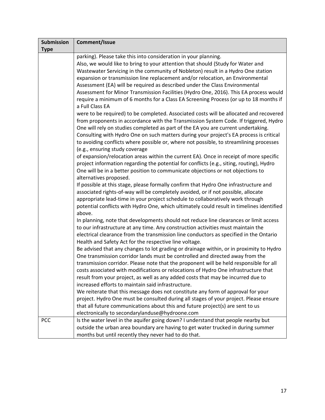<span id="page-18-0"></span>

| <b>Type</b><br>parking). Please take this into consideration in your planning.<br>Also, we would like to bring to your attention that should (Study for Water and<br>Wastewater Servicing in the community of Nobleton) result in a Hydro One station<br>expansion or transmission line replacement and/or relocation, an Environmental<br>Assessment (EA) will be required as described under the Class Environmental<br>Assessment for Minor Transmission Facilities (Hydro One, 2016). This EA process would<br>require a minimum of 6 months for a Class EA Screening Process (or up to 18 months if<br>a Full Class EA<br>were to be required) to be completed. Associated costs will be allocated and recovered<br>from proponents in accordance with the Transmission System Code. If triggered, Hydro<br>One will rely on studies completed as part of the EA you are current undertaking.<br>Consulting with Hydro One on such matters during your project's EA process is critical<br>to avoiding conflicts where possible or, where not possible, to streamlining processes | <b>Submission</b> | Comment/Issue                  |
|----------------------------------------------------------------------------------------------------------------------------------------------------------------------------------------------------------------------------------------------------------------------------------------------------------------------------------------------------------------------------------------------------------------------------------------------------------------------------------------------------------------------------------------------------------------------------------------------------------------------------------------------------------------------------------------------------------------------------------------------------------------------------------------------------------------------------------------------------------------------------------------------------------------------------------------------------------------------------------------------------------------------------------------------------------------------------------------|-------------------|--------------------------------|
|                                                                                                                                                                                                                                                                                                                                                                                                                                                                                                                                                                                                                                                                                                                                                                                                                                                                                                                                                                                                                                                                                        |                   |                                |
|                                                                                                                                                                                                                                                                                                                                                                                                                                                                                                                                                                                                                                                                                                                                                                                                                                                                                                                                                                                                                                                                                        |                   |                                |
|                                                                                                                                                                                                                                                                                                                                                                                                                                                                                                                                                                                                                                                                                                                                                                                                                                                                                                                                                                                                                                                                                        |                   |                                |
|                                                                                                                                                                                                                                                                                                                                                                                                                                                                                                                                                                                                                                                                                                                                                                                                                                                                                                                                                                                                                                                                                        |                   |                                |
|                                                                                                                                                                                                                                                                                                                                                                                                                                                                                                                                                                                                                                                                                                                                                                                                                                                                                                                                                                                                                                                                                        |                   |                                |
|                                                                                                                                                                                                                                                                                                                                                                                                                                                                                                                                                                                                                                                                                                                                                                                                                                                                                                                                                                                                                                                                                        |                   |                                |
|                                                                                                                                                                                                                                                                                                                                                                                                                                                                                                                                                                                                                                                                                                                                                                                                                                                                                                                                                                                                                                                                                        |                   |                                |
|                                                                                                                                                                                                                                                                                                                                                                                                                                                                                                                                                                                                                                                                                                                                                                                                                                                                                                                                                                                                                                                                                        |                   |                                |
|                                                                                                                                                                                                                                                                                                                                                                                                                                                                                                                                                                                                                                                                                                                                                                                                                                                                                                                                                                                                                                                                                        |                   |                                |
|                                                                                                                                                                                                                                                                                                                                                                                                                                                                                                                                                                                                                                                                                                                                                                                                                                                                                                                                                                                                                                                                                        |                   |                                |
|                                                                                                                                                                                                                                                                                                                                                                                                                                                                                                                                                                                                                                                                                                                                                                                                                                                                                                                                                                                                                                                                                        |                   |                                |
|                                                                                                                                                                                                                                                                                                                                                                                                                                                                                                                                                                                                                                                                                                                                                                                                                                                                                                                                                                                                                                                                                        |                   |                                |
|                                                                                                                                                                                                                                                                                                                                                                                                                                                                                                                                                                                                                                                                                                                                                                                                                                                                                                                                                                                                                                                                                        |                   |                                |
|                                                                                                                                                                                                                                                                                                                                                                                                                                                                                                                                                                                                                                                                                                                                                                                                                                                                                                                                                                                                                                                                                        |                   |                                |
|                                                                                                                                                                                                                                                                                                                                                                                                                                                                                                                                                                                                                                                                                                                                                                                                                                                                                                                                                                                                                                                                                        |                   | (e.g., ensuring study coverage |
| of expansion/relocation areas within the current EA). Once in receipt of more specific                                                                                                                                                                                                                                                                                                                                                                                                                                                                                                                                                                                                                                                                                                                                                                                                                                                                                                                                                                                                 |                   |                                |
| project information regarding the potential for conflicts (e.g., siting, routing), Hydro                                                                                                                                                                                                                                                                                                                                                                                                                                                                                                                                                                                                                                                                                                                                                                                                                                                                                                                                                                                               |                   |                                |
| One will be in a better position to communicate objections or not objections to                                                                                                                                                                                                                                                                                                                                                                                                                                                                                                                                                                                                                                                                                                                                                                                                                                                                                                                                                                                                        |                   |                                |
| alternatives proposed.                                                                                                                                                                                                                                                                                                                                                                                                                                                                                                                                                                                                                                                                                                                                                                                                                                                                                                                                                                                                                                                                 |                   |                                |
| If possible at this stage, please formally confirm that Hydro One infrastructure and                                                                                                                                                                                                                                                                                                                                                                                                                                                                                                                                                                                                                                                                                                                                                                                                                                                                                                                                                                                                   |                   |                                |
| associated rights-of-way will be completely avoided, or if not possible, allocate                                                                                                                                                                                                                                                                                                                                                                                                                                                                                                                                                                                                                                                                                                                                                                                                                                                                                                                                                                                                      |                   |                                |
| appropriate lead-time in your project schedule to collaboratively work through                                                                                                                                                                                                                                                                                                                                                                                                                                                                                                                                                                                                                                                                                                                                                                                                                                                                                                                                                                                                         |                   |                                |
| potential conflicts with Hydro One, which ultimately could result in timelines identified                                                                                                                                                                                                                                                                                                                                                                                                                                                                                                                                                                                                                                                                                                                                                                                                                                                                                                                                                                                              |                   |                                |
| above.                                                                                                                                                                                                                                                                                                                                                                                                                                                                                                                                                                                                                                                                                                                                                                                                                                                                                                                                                                                                                                                                                 |                   |                                |
| In planning, note that developments should not reduce line clearances or limit access                                                                                                                                                                                                                                                                                                                                                                                                                                                                                                                                                                                                                                                                                                                                                                                                                                                                                                                                                                                                  |                   |                                |
| to our infrastructure at any time. Any construction activities must maintain the                                                                                                                                                                                                                                                                                                                                                                                                                                                                                                                                                                                                                                                                                                                                                                                                                                                                                                                                                                                                       |                   |                                |
| electrical clearance from the transmission line conductors as specified in the Ontario                                                                                                                                                                                                                                                                                                                                                                                                                                                                                                                                                                                                                                                                                                                                                                                                                                                                                                                                                                                                 |                   |                                |
| Health and Safety Act for the respective line voltage.                                                                                                                                                                                                                                                                                                                                                                                                                                                                                                                                                                                                                                                                                                                                                                                                                                                                                                                                                                                                                                 |                   |                                |
| Be advised that any changes to lot grading or drainage within, or in proximity to Hydro                                                                                                                                                                                                                                                                                                                                                                                                                                                                                                                                                                                                                                                                                                                                                                                                                                                                                                                                                                                                |                   |                                |
| One transmission corridor lands must be controlled and directed away from the                                                                                                                                                                                                                                                                                                                                                                                                                                                                                                                                                                                                                                                                                                                                                                                                                                                                                                                                                                                                          |                   |                                |
| transmission corridor. Please note that the proponent will be held responsible for all                                                                                                                                                                                                                                                                                                                                                                                                                                                                                                                                                                                                                                                                                                                                                                                                                                                                                                                                                                                                 |                   |                                |
| costs associated with modifications or relocations of Hydro One infrastructure that                                                                                                                                                                                                                                                                                                                                                                                                                                                                                                                                                                                                                                                                                                                                                                                                                                                                                                                                                                                                    |                   |                                |
| result from your project, as well as any added costs that may be incurred due to                                                                                                                                                                                                                                                                                                                                                                                                                                                                                                                                                                                                                                                                                                                                                                                                                                                                                                                                                                                                       |                   |                                |
| increased efforts to maintain said infrastructure.                                                                                                                                                                                                                                                                                                                                                                                                                                                                                                                                                                                                                                                                                                                                                                                                                                                                                                                                                                                                                                     |                   |                                |
| We reiterate that this message does not constitute any form of approval for your                                                                                                                                                                                                                                                                                                                                                                                                                                                                                                                                                                                                                                                                                                                                                                                                                                                                                                                                                                                                       |                   |                                |
| project. Hydro One must be consulted during all stages of your project. Please ensure                                                                                                                                                                                                                                                                                                                                                                                                                                                                                                                                                                                                                                                                                                                                                                                                                                                                                                                                                                                                  |                   |                                |
| that all future communications about this and future project(s) are sent to us                                                                                                                                                                                                                                                                                                                                                                                                                                                                                                                                                                                                                                                                                                                                                                                                                                                                                                                                                                                                         |                   |                                |
| electronically to secondarylanduse@hydroone.com                                                                                                                                                                                                                                                                                                                                                                                                                                                                                                                                                                                                                                                                                                                                                                                                                                                                                                                                                                                                                                        |                   |                                |
| PCC<br>Is the water level in the aquifer going down? I understand that people nearby but                                                                                                                                                                                                                                                                                                                                                                                                                                                                                                                                                                                                                                                                                                                                                                                                                                                                                                                                                                                               |                   |                                |
| outside the urban area boundary are having to get water trucked in during summer                                                                                                                                                                                                                                                                                                                                                                                                                                                                                                                                                                                                                                                                                                                                                                                                                                                                                                                                                                                                       |                   |                                |
| months but until recently they never had to do that.                                                                                                                                                                                                                                                                                                                                                                                                                                                                                                                                                                                                                                                                                                                                                                                                                                                                                                                                                                                                                                   |                   |                                |